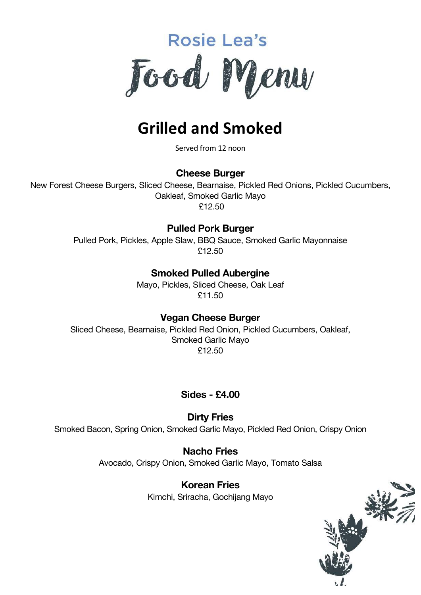

# **Grilled and Smoked**

Served from 12 noon

#### **Cheese Burger**

New Forest Cheese Burgers, Sliced Cheese, Bearnaise, Pickled Red Onions, Pickled Cucumbers, Oakleaf, Smoked Garlic Mayo £12.50

#### **Pulled Pork Burger**

Pulled Pork, Pickles, Apple Slaw, BBQ Sauce, Smoked Garlic Mayonnaise £12.50

#### **Smoked Pulled Aubergine**

Mayo, Pickles, Sliced Cheese, Oak Leaf £11.50

#### **Vegan Cheese Burger**

Sliced Cheese, Bearnaise, Pickled Red Onion, Pickled Cucumbers, Oakleaf, Smoked Garlic Mayo £12.50

#### **Sides - £4.00**

**Dirty Fries** Smoked Bacon, Spring Onion, Smoked Garlic Mayo, Pickled Red Onion, Crispy Onion

> **Nacho Fries** Avocado, Crispy Onion, Smoked Garlic Mayo, Tomato Salsa

> > **Korean Fries** Kimchi, Sriracha, Gochijang Mayo

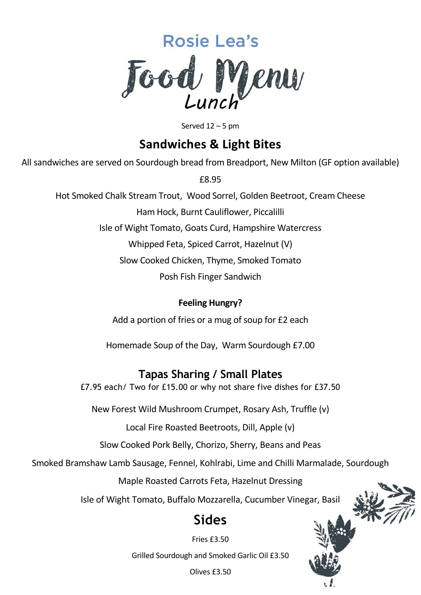

Served  $12 - 5$  pm

## **Sandwiches & Light Bites**

All sandwiches are served on Sourdough bread from Breadport, New Milton (GF option available)

£8.95

Hot Smoked Chalk Stream Trout, Wood Sorrel, Golden Beetroot, Cream Cheese

Ham Hock, Burnt Cauliflower, Piccalilli

Isle of Wight Tomato, Goats Curd, Hampshire Watercress

Whipped Feta, Spiced Carrot, Hazelnut (V)

Slow Cooked Chicken, Thyme, Smoked Tomato

Posh Fish Finger Sandwich

### **Feeling Hungry?**

Add a portion of fries or a mug of soup for £2 each

Homemade Soup of the Day, Warm Sourdough £7.00

## **Tapas Sharing / Small Plates**

£7.95 each/ Two for £15.00 or why not share five dishes for £37.50

New Forest Wild Mushroom Crumpet, Rosary Ash, Truffle (v)

Local Fire Roasted Beetroots, Dill, Apple (v)

Slow Cooked Pork Belly, Chorizo, Sherry, Beans and Peas

Smoked Bramshaw Lamb Sausage, Fennel, Kohlrabi, Lime and Chilli Marmalade, Sourdough

Maple Roasted Carrots Feta, Hazelnut Dressing

Isle of Wight Tomato, Buffalo Mozzarella, Cucumber Vinegar, Basil

## **Sides**

Fries £3.50

Grilled Sourdough and Smoked Garlic Oil £3.50

Olives £3.50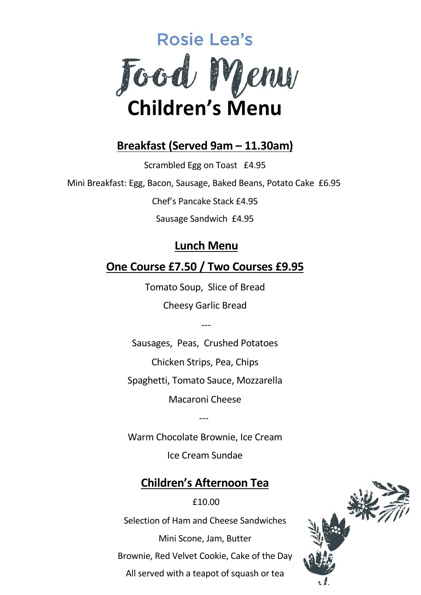

## **Breakfast (Served 9am – 11.30am)**

Scrambled Egg on Toast £4.95

Mini Breakfast: Egg, Bacon, Sausage, Baked Beans, Potato Cake £6.95

Chef's Pancake Stack £4.95

Sausage Sandwich £4.95

## **Lunch Menu**

## **One Course £7.50 / Two Courses £9.95**

Tomato Soup, Slice of Bread Cheesy Garlic Bread

---

Sausages, Peas, Crushed Potatoes Chicken Strips, Pea, Chips Spaghetti, Tomato Sauce, Mozzarella

Macaroni Cheese

---

Warm Chocolate Brownie, Ice Cream

Ice Cream Sundae

## **Children's Afternoon Tea**

## £10.00

Selection of Ham and Cheese Sandwiches

Mini Scone, Jam, Butter

Brownie, Red Velvet Cookie, Cake of the Day

All served with a teapot of squash or tea

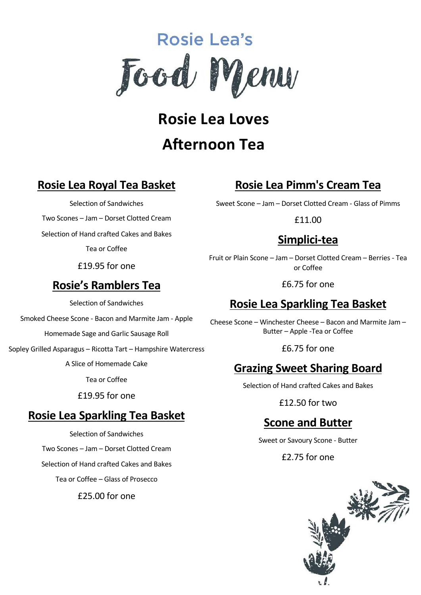

**Rosie Lea Loves Afternoon Tea**

## **Rosie Lea Royal Tea Basket**

Selection of Sandwiches

Two Scones – Jam – Dorset Clotted Cream

Selection of Hand crafted Cakes and Bakes

Tea or Coffee

£19.95 for one

## **Rosie's Ramblers Tea**

Selection of Sandwiches

Smoked Cheese Scone - Bacon and Marmite Jam - Apple

Homemade Sage and Garlic Sausage Roll

Sopley Grilled Asparagus – Ricotta Tart – Hampshire Watercress

A Slice of Homemade Cake

Tea or Coffee

£19.95 for one

## **Rosie Lea Sparkling Tea Basket**

Selection of Sandwiches Two Scones – Jam – Dorset Clotted Cream Selection of Hand crafted Cakes and Bakes Tea or Coffee – Glass of Prosecco £25.00 for one

## **Rosie Lea Pimm's Cream Tea**

Sweet Scone – Jam – Dorset Clotted Cream - Glass of Pimms

£11.00

## **Simplici-tea**

Fruit or Plain Scone – Jam – Dorset Clotted Cream – Berries - Tea or Coffee

£6.75 for one

## **Rosie Lea Sparkling Tea Basket**

Cheese Scone – Winchester Cheese – Bacon and Marmite Jam – Butter – Apple -Tea or Coffee

£6.75 for one

## **Grazing Sweet Sharing Board**

Selection of Hand crafted Cakes and Bakes

£12.50 for two

## **Scone and Butter**

Sweet or Savoury Scone - Butter

£2.75 for one